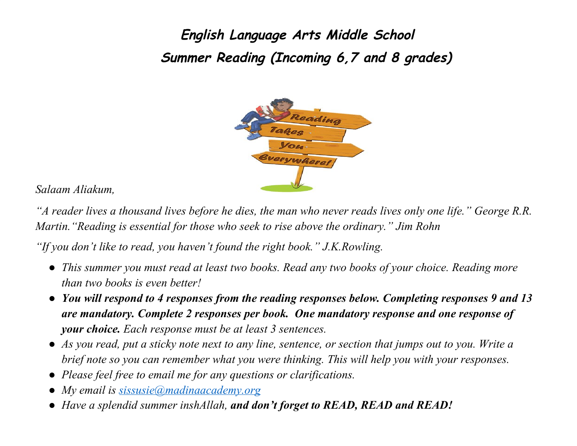**English Language Arts Middle School Summer Reading (Incoming 6,7 and 8 grades)**



*Salaam Aliakum,*

"A reader lives a thousand lives before he dies, the man who never reads lives only one life." George R.R. *Martin."Reading is essential for those who seek to rise above the ordinary." Jim Rohn*

*"If you don't like to read, you haven't found the right book." J.K.Rowling.*

- *This summer you must read at least two books. Read any two books of your choice. Reading more than two books is even better!*
- *You will respond to 4 responses from the reading responses below. Completing responses 9 and 13 are mandatory. Complete 2 responses per book. One mandatory response and one response of your choice. Each response must be at least 3 sentences.*
- As you read, put a sticky note next to any line, sentence, or section that jumps out to you. Write a *brief note so you can remember what you were thinking. This will help you with your responses.*
- *Please feel free to email me for any questions or clarifications.*
- *My email is [sissusie@madinaacademy.org](mailto:sissusie@madinaacademy.org)*
- *Have a splendid summer inshAllah, and don't forget to READ, READ and READ!*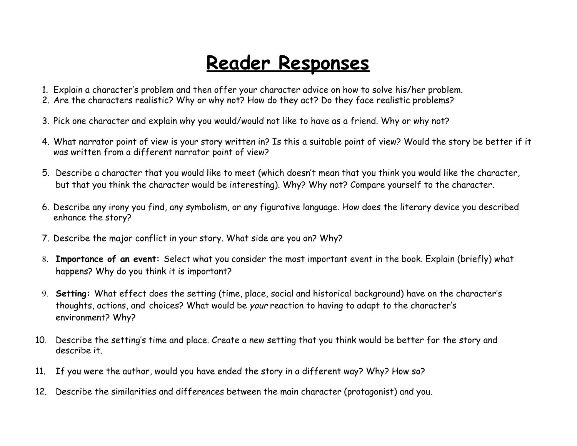## **Reader Responses**

- 1. Explain a character's problem and then offer your character advice on how to solve his/her problem.
- 2. Are the characters realistic? Why or why not? How do they act? Do they face realistic problems?
- 3. Pick one character and explain why you would/would not like to have as a friend. Why or why not?
- 4. What narrator point of view is your story written in? Is this a suitable point of view? Would the story be better if it was written from a different narrator point of view?
- 5. Describe a character that you would like to meet (which doesn't mean that you think you would like the character, but that you think the character would be interesting). Why? Why not? Compare yourself to the character.
- 6. Describe any irony you find, any symbolism, or any figurative language. How does the literary device you described enhance the story?
- 7. Describe the major conflict in your story. What side are you on? Why?
- 8. **Importance of an event:** Select what you consider the most important event in the book. Explain (briefly) what happens? Why do you think it is important?
- 9. **Setting:** What effect does the setting (time, place, social and historical background) have on the character's thoughts, actions, and choices? What would be your reaction to having to adapt to the character's environment? Why?
- 10. Describe the setting's time and place. Create a new setting that you think would be better for the story and describe it.
- 11. If you were the author, would you have ended the story in a different way? Why? How so?
- 12. Describe the similarities and differences between the main character (protagonist) and you.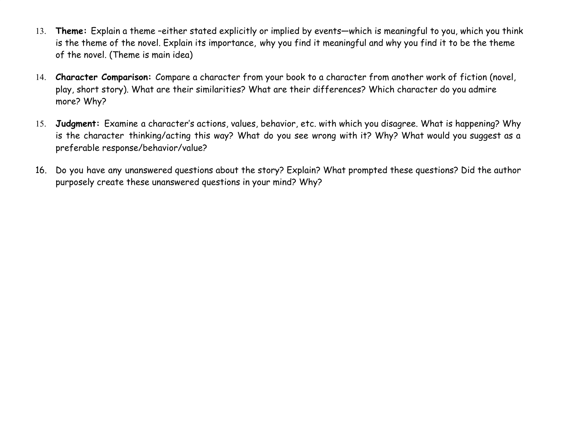- 13. **Theme:** Explain a theme –either stated explicitly or implied by events—which is meaningful to you, which you think is the theme of the novel. Explain its importance, why you find it meaningful and why you find it to be the theme of the novel. (Theme is main idea)
- 14. **Character Comparison:** Compare a character from your book to a character from another work of fiction (novel, play, short story). What are their similarities? What are their differences? Which character do you admire more? Why?
- 15. **Judgment:** Examine a character's actions, values, behavior, etc. with which you disagree. What is happening? Why is the character thinking/acting this way? What do you see wrong with it? Why? What would you suggest as a preferable response/behavior/value?
- 16. Do you have any unanswered questions about the story? Explain? What prompted these questions? Did the author purposely create these unanswered questions in your mind? Why?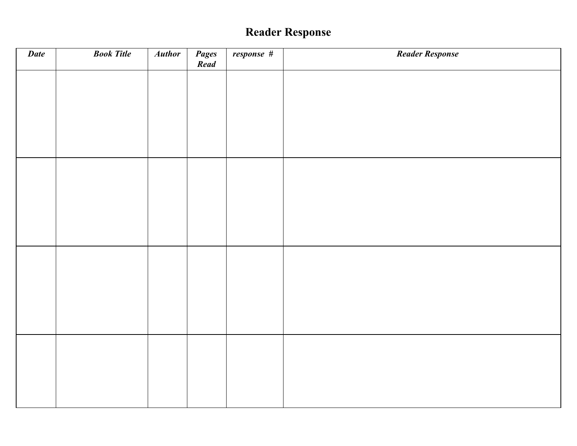## **Reader Response**

| Date | <b>Book Title</b> | <b>Author</b> | Pages<br>Read | response # | <b>Reader Response</b> |
|------|-------------------|---------------|---------------|------------|------------------------|
|      |                   |               |               |            |                        |
|      |                   |               |               |            |                        |
|      |                   |               |               |            |                        |
|      |                   |               |               |            |                        |
|      |                   |               |               |            |                        |
|      |                   |               |               |            |                        |
|      |                   |               |               |            |                        |
|      |                   |               |               |            |                        |
|      |                   |               |               |            |                        |
|      |                   |               |               |            |                        |
|      |                   |               |               |            |                        |
|      |                   |               |               |            |                        |
|      |                   |               |               |            |                        |
|      |                   |               |               |            |                        |
|      |                   |               |               |            |                        |
|      |                   |               |               |            |                        |